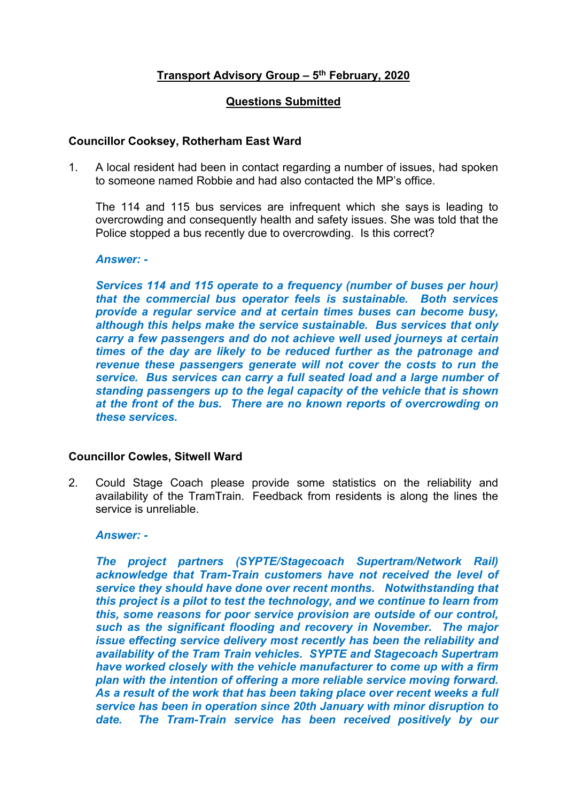# **Transport Advisory Group – 5 th February, 2020**

## **Questions Submitted**

# **Councillor Cooksey, Rotherham East Ward**

1. A local resident had been in contact regarding a number of issues, had spoken to someone named Robbie and had also contacted the MP's office.

The 114 and 115 bus services are infrequent which she says is leading to overcrowding and consequently health and safety issues. She was told that the Police stopped a bus recently due to overcrowding. Is this correct?

### *Answer: -*

*Services 114 and 115 operate to a frequency (number of buses per hour) that the commercial bus operator feels is sustainable. Both services provide a regular service and at certain times buses can become busy, although this helps make the service sustainable. Bus services that only carry a few passengers and do not achieve well used journeys at certain times of the day are likely to be reduced further as the patronage and revenue these passengers generate will not cover the costs to run the service. Bus services can carry a full seated load and a large number of standing passengers up to the legal capacity of the vehicle that is shown at the front of the bus. There are no known reports of overcrowding on these services.*

### **Councillor Cowles, Sitwell Ward**

2. Could Stage Coach please provide some statistics on the reliability and availability of the TramTrain. Feedback from residents is along the lines the service is unreliable.

#### *Answer: -*

*The project partners (SYPTE/Stagecoach Supertram/Network Rail) acknowledge that Tram-Train customers have not received the level of service they should have done over recent months. Notwithstanding that this project is a pilot to test the technology, and we continue to learn from this, some reasons for poor service provision are outside of our control, such as the significant flooding and recovery in November. The major issue effecting service delivery most recently has been the reliability and availability of the Tram Train vehicles. SYPTE and Stagecoach Supertram have worked closely with the vehicle manufacturer to come up with a firm plan with the intention of offering a more reliable service moving forward. As a result of the work that has been taking place over recent weeks a full service has been in operation since 20th January with minor disruption to date. The Tram-Train service has been received positively by our*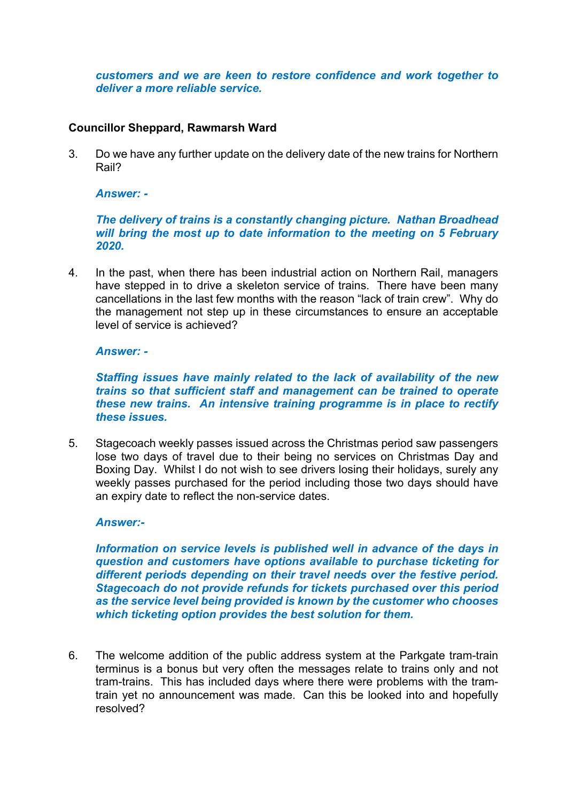*customers and we are keen to restore confidence and work together to deliver a more reliable service.*

# **Councillor Sheppard, Rawmarsh Ward**

3. Do we have any further update on the delivery date of the new trains for Northern Rail?

*Answer: -*

*The delivery of trains is a constantly changing picture. Nathan Broadhead will bring the most up to date information to the meeting on 5 February 2020.*

4. In the past, when there has been industrial action on Northern Rail, managers have stepped in to drive a skeleton service of trains. There have been many cancellations in the last few months with the reason "lack of train crew". Why do the management not step up in these circumstances to ensure an acceptable level of service is achieved?

### *Answer: -*

*Staffing issues have mainly related to the lack of availability of the new trains so that sufficient staff and management can be trained to operate these new trains. An intensive training programme is in place to rectify these issues.*

5. Stagecoach weekly passes issued across the Christmas period saw passengers lose two days of travel due to their being no services on Christmas Day and Boxing Day. Whilst I do not wish to see drivers losing their holidays, surely any weekly passes purchased for the period including those two days should have an expiry date to reflect the non-service dates.

### *Answer:-*

*Information on service levels is published well in advance of the days in question and customers have options available to purchase ticketing for different periods depending on their travel needs over the festive period. Stagecoach do not provide refunds for tickets purchased over this period as the service level being provided is known by the customer who chooses which ticketing option provides the best solution for them.*

6. The welcome addition of the public address system at the Parkgate tram-train terminus is a bonus but very often the messages relate to trains only and not tram-trains. This has included days where there were problems with the tramtrain yet no announcement was made. Can this be looked into and hopefully resolved?